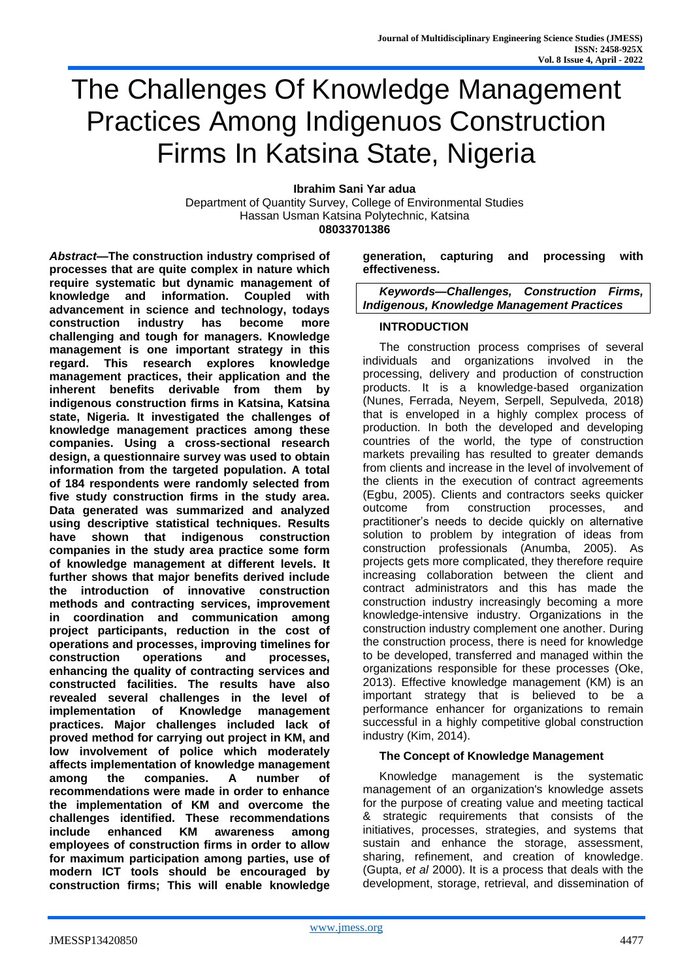# The Challenges Of Knowledge Management Practices Among Indigenuos Construction Firms In Katsina State, Nigeria

**Ibrahim Sani Yar adua**

Department of Quantity Survey, College of Environmental Studies Hassan Usman Katsina Polytechnic, Katsina **08033701386**

*Abstract***—The construction industry comprised of processes that are quite complex in nature which require systematic but dynamic management of knowledge and information. Coupled with advancement in science and technology, todays construction industry has become more challenging and tough for managers. Knowledge management is one important strategy in this regard. This research explores knowledge management practices, their application and the inherent benefits derivable from them by indigenous construction firms in Katsina, Katsina state, Nigeria. It investigated the challenges of knowledge management practices among these companies. Using a cross-sectional research design, a questionnaire survey was used to obtain information from the targeted population. A total of 184 respondents were randomly selected from five study construction firms in the study area. Data generated was summarized and analyzed using descriptive statistical techniques. Results have shown that indigenous construction companies in the study area practice some form of knowledge management at different levels. It further shows that major benefits derived include the introduction of innovative construction methods and contracting services, improvement in coordination and communication among project participants, reduction in the cost of operations and processes, improving timelines for construction operations and processes, enhancing the quality of contracting services and constructed facilities. The results have also revealed several challenges in the level of implementation of Knowledge management practices. Major challenges included lack of proved method for carrying out project in KM, and low involvement of police which moderately affects implementation of knowledge management among the companies. A number of recommendations were made in order to enhance the implementation of KM and overcome the challenges identified. These recommendations include enhanced KM awareness among employees of construction firms in order to allow for maximum participation among parties, use of modern ICT tools should be encouraged by construction firms; This will enable knowledge** 

#### **generation, capturing and processing with effectiveness.**

*Keywords—Challenges, Construction Firms, Indigenous, Knowledge Management Practices* 

# **INTRODUCTION**

The construction process comprises of several individuals and organizations involved in the processing, delivery and production of construction products. It is a knowledge-based organization (Nunes, Ferrada, Neyem, Serpell, Sepulveda, 2018) that is enveloped in a highly complex process of production. In both the developed and developing countries of the world, the type of construction markets prevailing has resulted to greater demands from clients and increase in the level of involvement of the clients in the execution of contract agreements (Egbu, 2005). Clients and contractors seeks quicker outcome from construction processes, and practitioner's needs to decide quickly on alternative solution to problem by integration of ideas from construction professionals (Anumba, 2005). As projects gets more complicated, they therefore require increasing collaboration between the client and contract administrators and this has made the construction industry increasingly becoming a more knowledge-intensive industry. Organizations in the construction industry complement one another. During the construction process, there is need for knowledge to be developed, transferred and managed within the organizations responsible for these processes (Oke, 2013). Effective knowledge management (KM) is an important strategy that is believed to be a performance enhancer for organizations to remain successful in a highly competitive global construction industry (Kim, 2014).

#### **The Concept of Knowledge Management**

Knowledge management is the systematic management of an organization's knowledge assets for the purpose of creating value and meeting tactical & strategic requirements that consists of the initiatives, processes, strategies, and systems that sustain and enhance the storage, assessment, sharing, refinement, and creation of knowledge. (Gupta, *et al* 2000). It is a process that deals with the development, storage, retrieval, and dissemination of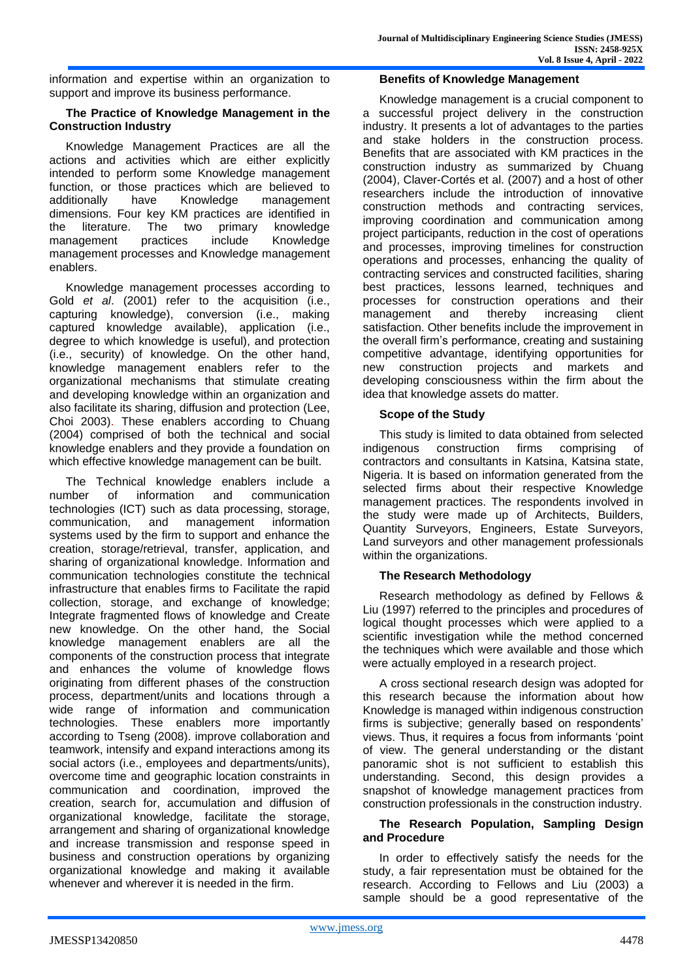information and expertise within an organization to support and improve its business performance.

# **The Practice of Knowledge Management in the Construction Industry**

Knowledge Management Practices are all the actions and activities which are either explicitly intended to perform some Knowledge management function, or those practices which are believed to additionally have Knowledge management dimensions. Four key KM practices are identified in the literature. The two primary knowledge management practices include Knowledge management processes and Knowledge management enablers.

Knowledge management processes according to Gold *et al*. (2001) refer to the acquisition (i.e., capturing knowledge), conversion (i.e., making captured knowledge available), application (i.e., degree to which knowledge is useful), and protection (i.e., security) of knowledge. On the other hand, knowledge management enablers refer to the organizational mechanisms that stimulate creating and developing knowledge within an organization and also facilitate its sharing, diffusion and protection (Lee, Choi 2003). These enablers according to Chuang (2004) comprised of both the technical and social knowledge enablers and they provide a foundation on which effective knowledge management can be built.

The Technical knowledge enablers include a number of information and communication technologies (ICT) such as data processing, storage, communication, and management information systems used by the firm to support and enhance the creation, storage/retrieval, transfer, application, and sharing of organizational knowledge. Information and communication technologies constitute the technical infrastructure that enables firms to Facilitate the rapid collection, storage, and exchange of knowledge; Integrate fragmented flows of knowledge and Create new knowledge. On the other hand, the Social knowledge management enablers are all the components of the construction process that integrate and enhances the volume of knowledge flows originating from different phases of the construction process, department/units and locations through a wide range of information and communication technologies. These enablers more importantly according to Tseng (2008). improve collaboration and teamwork, intensify and expand interactions among its social actors (i.e., employees and departments/units), overcome time and geographic location constraints in communication and coordination, improved the creation, search for, accumulation and diffusion of organizational knowledge, facilitate the storage, arrangement and sharing of organizational knowledge and increase transmission and response speed in business and construction operations by organizing organizational knowledge and making it available whenever and wherever it is needed in the firm.

## **Benefits of Knowledge Management**

Knowledge management is a crucial component to a successful project delivery in the construction industry. It presents a lot of advantages to the parties and stake holders in the construction process. Benefits that are associated with KM practices in the construction industry as summarized by Chuang (2004), Claver-Cortés et al. (2007) and a host of other researchers include the introduction of innovative construction methods and contracting services, improving coordination and communication among project participants, reduction in the cost of operations and processes, improving timelines for construction operations and processes, enhancing the quality of contracting services and constructed facilities, sharing best practices, lessons learned, techniques and processes for construction operations and their management and thereby increasing client satisfaction. Other benefits include the improvement in the overall firm's performance, creating and sustaining competitive advantage, identifying opportunities for new construction projects and markets and developing consciousness within the firm about the idea that knowledge assets do matter.

# **Scope of the Study**

This study is limited to data obtained from selected indigenous construction firms comprising of contractors and consultants in Katsina, Katsina state, Nigeria. It is based on information generated from the selected firms about their respective Knowledge management practices. The respondents involved in the study were made up of Architects, Builders, Quantity Surveyors, Engineers, Estate Surveyors, Land surveyors and other management professionals within the organizations.

# **The Research Methodology**

Research methodology as defined by Fellows & Liu (1997) referred to the principles and procedures of logical thought processes which were applied to a scientific investigation while the method concerned the techniques which were available and those which were actually employed in a research project.

A cross sectional research design was adopted for this research because the information about how Knowledge is managed within indigenous construction firms is subjective; generally based on respondents' views. Thus, it requires a focus from informants 'point of view. The general understanding or the distant panoramic shot is not sufficient to establish this understanding. Second, this design provides a snapshot of knowledge management practices from construction professionals in the construction industry.

## **The Research Population, Sampling Design and Procedure**

In order to effectively satisfy the needs for the study, a fair representation must be obtained for the research. According to Fellows and Liu (2003) a sample should be a good representative of the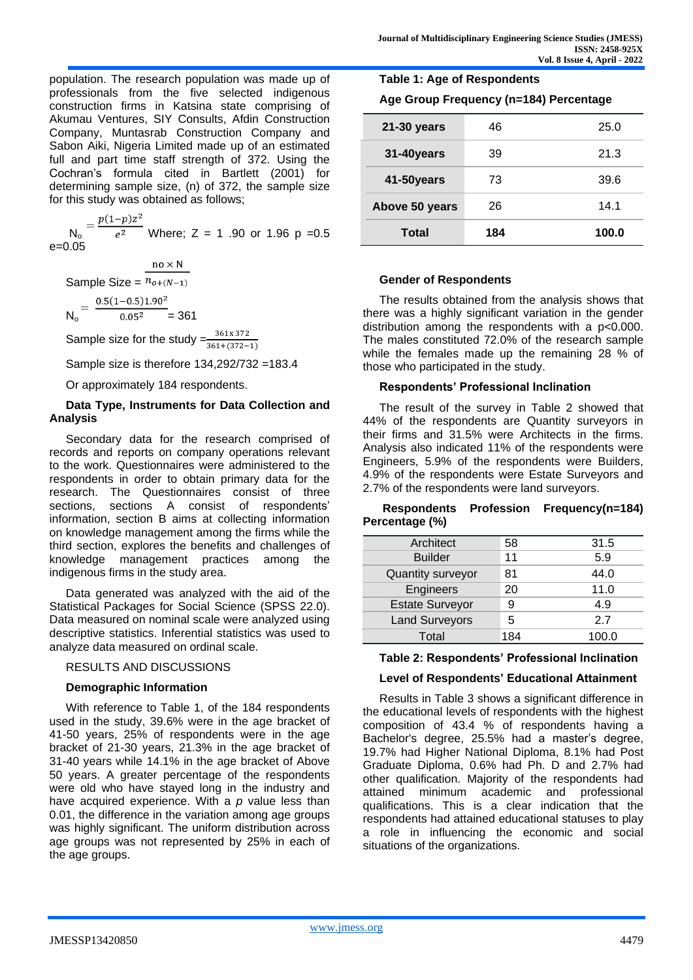population. The research population was made up of professionals from the five selected indigenous construction firms in Katsina state comprising of Akumau Ventures, SIY Consults, Afdin Construction Company, Muntasrab Construction Company and Sabon Aiki, Nigeria Limited made up of an estimated full and part time staff strength of 372. Using the Cochran's formula cited in Bartlett (2001) for determining sample size, (n) of 372, the sample size

for this study was obtained as follows;<br> $N_0 = \frac{p(1-p)z^2}{e^2}$  Where  $-\frac{1}{2}$  $\frac{1}{e^2}$  Where; Z = 1.90 or 1.96 p = 0.5 e=0.05

 $no \times N$ Sample Size =  $n_{o+(N-1)}$ 

 $N_0 = \frac{0.5(1-0.5)1.90^2}{0.05^2} = 361$ 

Sample size for the study  $=\frac{361x372}{361+(372-1)}$ 

Sample size is therefore 134,292/732 =183.4

Or approximately 184 respondents.

## **Data Type, Instruments for Data Collection and Analysis**

Secondary data for the research comprised of records and reports on company operations relevant to the work. Questionnaires were administered to the respondents in order to obtain primary data for the research. The Questionnaires consist of three sections, sections A consist of respondents' information, section B aims at collecting information on knowledge management among the firms while the third section, explores the benefits and challenges of knowledge management practices among the indigenous firms in the study area.

Data generated was analyzed with the aid of the Statistical Packages for Social Science (SPSS 22.0). Data measured on nominal scale were analyzed using descriptive statistics. Inferential statistics was used to analyze data measured on ordinal scale.

#### RESULTS AND DISCUSSIONS

#### **Demographic Information**

With reference to Table 1, of the 184 respondents used in the study, 39.6% were in the age bracket of 41-50 years, 25% of respondents were in the age bracket of 21-30 years, 21.3% in the age bracket of 31-40 years while 14.1% in the age bracket of Above 50 years. A greater percentage of the respondents were old who have stayed long in the industry and have acquired experience. With a *p* value less than 0.01, the difference in the variation among age groups was highly significant. The uniform distribution across age groups was not represented by 25% in each of the age groups.

| Age Group Frequency (n=184) Percentage |     |       |
|----------------------------------------|-----|-------|
| 21-30 years                            | 46  | 25.0  |
| 31-40years                             | 39  | 21.3  |
| 41-50years                             | 73  | 39.6  |
| Above 50 years                         | 26  | 14 1  |
| Total                                  | 184 | 100.0 |

#### **Gender of Respondents**

**Table 1: Age of Respondents**

The results obtained from the analysis shows that there was a highly significant variation in the gender distribution among the respondents with a p<0.000. The males constituted 72.0% of the research sample while the females made up the remaining 28 % of those who participated in the study.

#### **Respondents' Professional Inclination**

The result of the survey in Table 2 showed that 44% of the respondents are Quantity surveyors in their firms and 31.5% were Architects in the firms. Analysis also indicated 11% of the respondents were Engineers, 5.9% of the respondents were Builders, 4.9% of the respondents were Estate Surveyors and 2.7% of the respondents were land surveyors.

#### **Respondents Profession Frequency(n=184) Percentage (%)**

| Architect              | 58  | 31.5  |
|------------------------|-----|-------|
| <b>Builder</b>         | 11  | 5.9   |
| Quantity surveyor      | 81  | 44.0  |
| Engineers              | 20  | 11.0  |
| <b>Estate Surveyor</b> | 9   | 4.9   |
| <b>Land Surveyors</b>  | 5   | 27    |
| Total                  | 184 | 100.0 |

#### **Table 2: Respondents' Professional Inclination**

#### **Level of Respondents' Educational Attainment**

Results in Table 3 shows a significant difference in the educational levels of respondents with the highest composition of 43.4 % of respondents having a Bachelor's degree, 25.5% had a master's degree, 19.7% had Higher National Diploma, 8.1% had Post Graduate Diploma, 0.6% had Ph. D and 2.7% had other qualification. Majority of the respondents had attained minimum academic and professional qualifications. This is a clear indication that the respondents had attained educational statuses to play a role in influencing the economic and social situations of the organizations.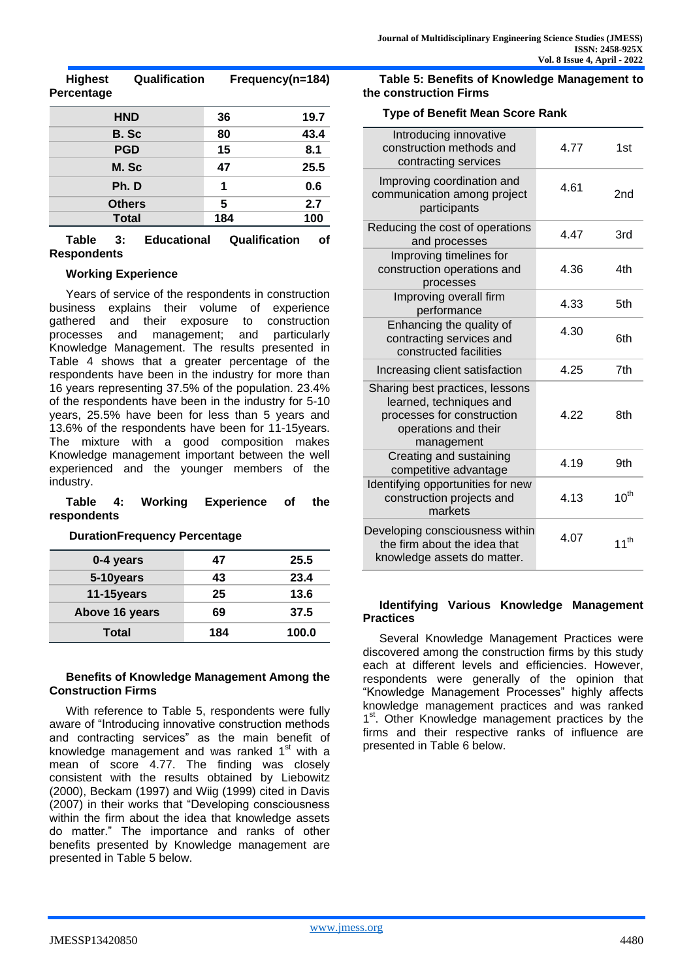**Highest Qualification Frequency(n=184) Percentage**

| <b>HND</b>    | 36  | 19.7 |
|---------------|-----|------|
| B. Sc         | 80  | 43.4 |
| <b>PGD</b>    | 15  | 8.1  |
| M. Sc         | 47  | 25.5 |
| Ph.D          | 1   | 0.6  |
| <b>Others</b> | 5   | 2.7  |
| <b>Total</b>  | 184 | 100  |

**Table 3: Educational Qualification of Respondents** 

## **Working Experience**

Years of service of the respondents in construction business explains their volume of experience gathered and their exposure to construction processes and management; and particularly Knowledge Management. The results presented in Table 4 shows that a greater percentage of the respondents have been in the industry for more than 16 years representing 37.5% of the population. 23.4% of the respondents have been in the industry for 5-10 years, 25.5% have been for less than 5 years and 13.6% of the respondents have been for 11-15years. The mixture with a good composition makes Knowledge management important between the well experienced and the younger members of the industry.

#### **Table 4: Working Experience of the respondents**

**DurationFrequency Percentage**

| 0-4 years      | 47  | 25.5  |
|----------------|-----|-------|
| 5-10years      | 43  | 23.4  |
| 11-15years     | 25  | 13.6  |
| Above 16 years | 69  | 37.5  |
| Total          | 184 | 100.0 |

#### **Benefits of Knowledge Management Among the Construction Firms**

With reference to Table 5, respondents were fully aware of "Introducing innovative construction methods and contracting services" as the main benefit of knowledge management and was ranked  $1<sup>st</sup>$  with a mean of score 4.77. The finding was closely consistent with the results obtained by Liebowitz (2000), Beckam (1997) and Wiig (1999) cited in Davis (2007) in their works that "Developing consciousness within the firm about the idea that knowledge assets do matter." The importance and ranks of other benefits presented by Knowledge management are presented in Table 5 below.

**Table 5: Benefits of Knowledge Management to the construction Firms**

#### **Type of Benefit Mean Score Rank**

| Introducing innovative<br>construction methods and<br>contracting services                                                     | 4.77 | 1st       |
|--------------------------------------------------------------------------------------------------------------------------------|------|-----------|
| Improving coordination and<br>communication among project<br>participants                                                      | 4.61 | 2nd       |
| Reducing the cost of operations<br>and processes                                                                               | 4.47 | 3rd       |
| Improving timelines for<br>construction operations and<br>processes                                                            | 4.36 | 4th       |
| Improving overall firm<br>performance                                                                                          | 4.33 | 5th       |
| Enhancing the quality of<br>contracting services and<br>constructed facilities                                                 | 4.30 | 6th       |
| Increasing client satisfaction                                                                                                 | 4.25 | 7th       |
| Sharing best practices, lessons<br>learned, techniques and<br>processes for construction<br>operations and their<br>management | 4.22 | 8th       |
| Creating and sustaining<br>competitive advantage                                                                               | 4.19 | 9th       |
| Identifying opportunities for new<br>construction projects and<br>markets                                                      | 4.13 | $10^{th}$ |
| Developing consciousness within<br>the firm about the idea that<br>knowledge assets do matter.                                 | 4.07 | $11^{th}$ |

#### **Identifying Various Knowledge Management Practices**

Several Knowledge Management Practices were discovered among the construction firms by this study each at different levels and efficiencies. However, respondents were generally of the opinion that "Knowledge Management Processes" highly affects knowledge management practices and was ranked 1<sup>st</sup>. Other Knowledge management practices by the firms and their respective ranks of influence are presented in Table 6 below.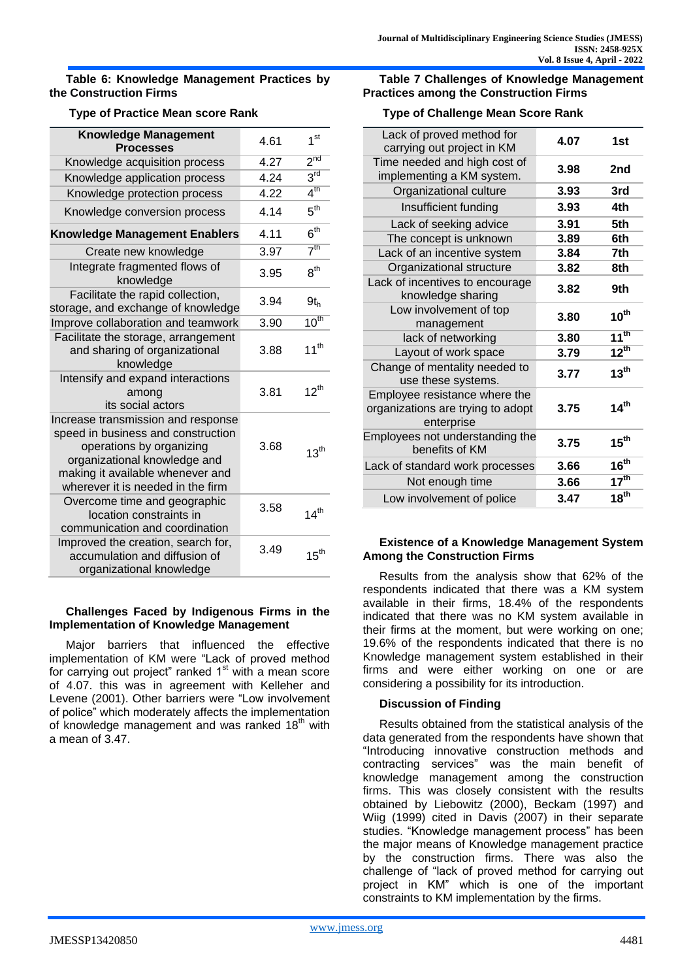#### **Table 6: Knowledge Management Practices by the Construction Firms**

# **Type of Practice Mean score Rank**

| <b>Knowledge Management</b><br><b>Processes</b>                                                                                                                                                               | 4.61 | 1 <sup>st</sup>  |
|---------------------------------------------------------------------------------------------------------------------------------------------------------------------------------------------------------------|------|------------------|
| Knowledge acquisition process                                                                                                                                                                                 | 4.27 | 2 <sup>nd</sup>  |
| Knowledge application process                                                                                                                                                                                 | 4 24 | 3 <sup>rd</sup>  |
| Knowledge protection process                                                                                                                                                                                  | 4.22 | 4 <sup>th</sup>  |
| Knowledge conversion process                                                                                                                                                                                  | 4.14 | $5^{\text{th}}$  |
| <b>Knowledge Management Enablers</b>                                                                                                                                                                          | 4.11 | 6 <sup>th</sup>  |
| Create new knowledge                                                                                                                                                                                          | 3.97 | 7 <sup>th</sup>  |
| Integrate fragmented flows of<br>knowledge                                                                                                                                                                    | 3.95 | $8^{\sf th}$     |
| Facilitate the rapid collection,<br>storage, and exchange of knowledge                                                                                                                                        | 3.94 | $9t_h$           |
| Improve collaboration and teamwork                                                                                                                                                                            | 3.90 | $10^{th}$        |
| Facilitate the storage, arrangement<br>and sharing of organizational<br>knowledge                                                                                                                             | 3.88 | $11^{th}$        |
| Intensify and expand interactions<br>among<br>its social actors                                                                                                                                               | 3.81 | $12^{th}$        |
| Increase transmission and response<br>speed in business and construction<br>operations by organizing<br>organizational knowledge and<br>making it available whenever and<br>wherever it is needed in the firm | 3.68 | $13^{\text{th}}$ |
| Overcome time and geographic<br>location constraints in<br>communication and coordination                                                                                                                     | 3.58 | 14 <sup>th</sup> |
| Improved the creation, search for,<br>accumulation and diffusion of<br>organizational knowledge                                                                                                               | 3.49 | 15 <sup>th</sup> |

## **Challenges Faced by Indigenous Firms in the Implementation of Knowledge Management**

Major barriers that influenced the effective implementation of KM were "Lack of proved method for carrying out project" ranked 1<sup>st</sup> with a mean score of 4.07. this was in agreement with Kelleher and Levene (2001). Other barriers were "Low involvement of police" which moderately affects the implementation of knowledge management and was ranked  $18<sup>th</sup>$  with a mean of 3.47.

## **Table 7 Challenges of Knowledge Management Practices among the Construction Firms**

## **Type of Challenge Mean Score Rank**

| Lack of proved method for<br>carrying out project in KM                          | 4.07 | 1st              |
|----------------------------------------------------------------------------------|------|------------------|
| Time needed and high cost of<br>implementing a KM system.                        | 3.98 | 2nd              |
| Organizational culture                                                           | 3.93 | 3rd              |
| Insufficient funding                                                             | 3.93 | 4th              |
| Lack of seeking advice                                                           | 3.91 | 5th              |
| The concept is unknown                                                           | 3.89 | 6th              |
| Lack of an incentive system                                                      | 3.84 | 7th              |
| Organizational structure                                                         | 3.82 | 8th              |
| Lack of incentives to encourage<br>knowledge sharing                             | 3.82 | 9th              |
| Low involvement of top<br>management                                             | 3.80 | $10^{th}$        |
| lack of networking                                                               | 3.80 | $11^{th}$        |
| Layout of work space                                                             | 3.79 | $12^{th}$        |
| Change of mentality needed to<br>use these systems.                              | 3.77 | 13 <sup>th</sup> |
| Employee resistance where the<br>organizations are trying to adopt<br>enterprise | 3.75 | 14 <sup>th</sup> |
| Employees not understanding the<br>benefits of KM                                | 3.75 | $15^{\text{th}}$ |
| Lack of standard work processes                                                  | 3.66 | 16 <sup>th</sup> |
| Not enough time                                                                  | 3.66 | 17 <sup>th</sup> |
| Low involvement of police                                                        | 3.47 | 18 <sup>th</sup> |

## **Existence of a Knowledge Management System Among the Construction Firms**

Results from the analysis show that 62% of the respondents indicated that there was a KM system available in their firms, 18.4% of the respondents indicated that there was no KM system available in their firms at the moment, but were working on one; 19.6% of the respondents indicated that there is no Knowledge management system established in their firms and were either working on one or are considering a possibility for its introduction.

# **Discussion of Finding**

Results obtained from the statistical analysis of the data generated from the respondents have shown that "Introducing innovative construction methods and contracting services" was the main benefit of knowledge management among the construction firms. This was closely consistent with the results obtained by Liebowitz (2000), Beckam (1997) and Wiig (1999) cited in Davis (2007) in their separate studies. "Knowledge management process" has been the major means of Knowledge management practice by the construction firms. There was also the challenge of "lack of proved method for carrying out project in KM" which is one of the important constraints to KM implementation by the firms.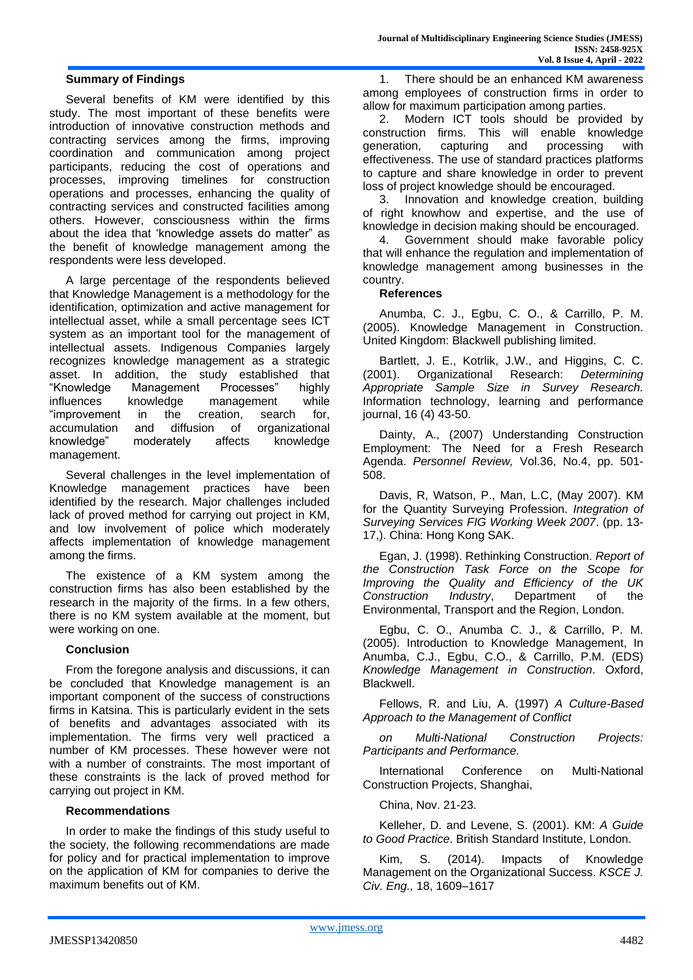#### **Summary of Findings**

Several benefits of KM were identified by this study. The most important of these benefits were introduction of innovative construction methods and contracting services among the firms, improving coordination and communication among project participants, reducing the cost of operations and processes, improving timelines for construction operations and processes, enhancing the quality of contracting services and constructed facilities among others. However, consciousness within the firms about the idea that 'knowledge assets do matter" as the benefit of knowledge management among the respondents were less developed.

A large percentage of the respondents believed that Knowledge Management is a methodology for the identification, optimization and active management for intellectual asset, while a small percentage sees ICT system as an important tool for the management of intellectual assets. Indigenous Companies largely recognizes knowledge management as a strategic asset. In addition, the study established that "Knowledge Management Processes" highly influences knowledge management while "improvement in the creation, search for, accumulation and diffusion of organizational knowledge" moderately affects knowledge management.

Several challenges in the level implementation of Knowledge management practices have been identified by the research. Major challenges included lack of proved method for carrying out project in KM, and low involvement of police which moderately affects implementation of knowledge management among the firms.

The existence of a KM system among the construction firms has also been established by the research in the majority of the firms. In a few others, there is no KM system available at the moment, but were working on one.

#### **Conclusion**

From the foregone analysis and discussions, it can be concluded that Knowledge management is an important component of the success of constructions firms in Katsina. This is particularly evident in the sets of benefits and advantages associated with its implementation. The firms very well practiced a number of KM processes. These however were not with a number of constraints. The most important of these constraints is the lack of proved method for carrying out project in KM.

#### **Recommendations**

In order to make the findings of this study useful to the society, the following recommendations are made for policy and for practical implementation to improve on the application of KM for companies to derive the maximum benefits out of KM.

1. There should be an enhanced KM awareness among employees of construction firms in order to allow for maximum participation among parties.

2. Modern ICT tools should be provided by construction firms. This will enable knowledge generation, capturing and processing with effectiveness. The use of standard practices platforms to capture and share knowledge in order to prevent loss of project knowledge should be encouraged.

3. Innovation and knowledge creation, building of right knowhow and expertise, and the use of knowledge in decision making should be encouraged.

4. Government should make favorable policy that will enhance the regulation and implementation of knowledge management among businesses in the country.

#### **References**

Anumba, C. J., Egbu, C. O., & Carrillo, P. M. (2005). Knowledge Management in Construction. United Kingdom: Blackwell publishing limited.

Bartlett, J. E., Kotrlik, J.W., and Higgins, C. C. (2001). Organizational Research: *Determining Appropriate Sample Size in Survey Research.*  Information technology, learning and performance journal, 16 (4) 43-50.

Dainty, A., (2007) Understanding Construction Employment: The Need for a Fresh Research Agenda. *Personnel Review,* Vol.36, No.4, pp. 501- 508.

Davis, R, Watson, P., Man, L.C, (May 2007). KM for the Quantity Surveying Profession. *Integration of Surveying Services FIG Working Week 2007*. (pp. 13- 17,). China: Hong Kong SAK.

Egan, J. (1998). Rethinking Construction. *Report of the Construction Task Force on the Scope for Improving the Quality and Efficiency of the UK Construction Industry*, Department of the Environmental, Transport and the Region, London.

Egbu, C. O., Anumba C. J., & Carrillo, P. M. (2005). Introduction to Knowledge Management, In Anumba, C.J., Egbu, C.O., & Carrillo, P.M. (EDS) *Knowledge Management in Construction*. Oxford, Blackwell.

Fellows, R. and Liu, A. (1997) *A Culture-Based Approach to the Management of Conflict*

*on Multi-National Construction Projects: Participants and Performance.*

International Conference on Multi-National Construction Projects, Shanghai,

China, Nov. 21-23.

Kelleher, D. and Levene, S. (2001). KM: *A Guide to Good Practice*. British Standard Institute, London.

Kim, S. (2014). Impacts of Knowledge Management on the Organizational Success. *KSCE J. Civ. Eng.,* 18, 1609–1617